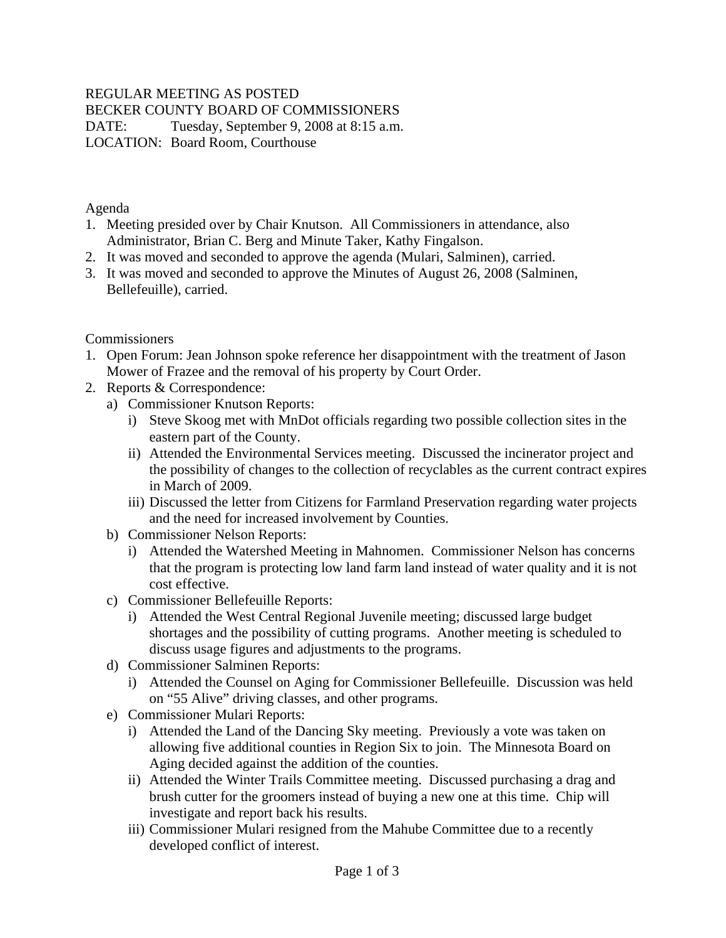# REGULAR MEETING AS POSTED

BECKER COUNTY BOARD OF COMMISSIONERS

DATE: Tuesday, September 9, 2008 at 8:15 a.m. LOCATION: Board Room, Courthouse

Agenda

- 1. Meeting presided over by Chair Knutson. All Commissioners in attendance, also Administrator, Brian C. Berg and Minute Taker, Kathy Fingalson.
- 2. It was moved and seconded to approve the agenda (Mulari, Salminen), carried.
- 3. It was moved and seconded to approve the Minutes of August 26, 2008 (Salminen, Bellefeuille), carried.

### Commissioners

- 1. Open Forum: Jean Johnson spoke reference her disappointment with the treatment of Jason Mower of Frazee and the removal of his property by Court Order.
- 2. Reports & Correspondence:
	- a) Commissioner Knutson Reports:
		- i) Steve Skoog met with MnDot officials regarding two possible collection sites in the eastern part of the County.
		- ii) Attended the Environmental Services meeting. Discussed the incinerator project and the possibility of changes to the collection of recyclables as the current contract expires in March of 2009.
		- iii) Discussed the letter from Citizens for Farmland Preservation regarding water projects and the need for increased involvement by Counties.
	- b) Commissioner Nelson Reports:
		- i) Attended the Watershed Meeting in Mahnomen. Commissioner Nelson has concerns that the program is protecting low land farm land instead of water quality and it is not cost effective.
	- c) Commissioner Bellefeuille Reports:
		- i) Attended the West Central Regional Juvenile meeting; discussed large budget shortages and the possibility of cutting programs. Another meeting is scheduled to discuss usage figures and adjustments to the programs.
	- d) Commissioner Salminen Reports:
		- i) Attended the Counsel on Aging for Commissioner Bellefeuille. Discussion was held on "55 Alive" driving classes, and other programs.
	- e) Commissioner Mulari Reports:
		- i) Attended the Land of the Dancing Sky meeting. Previously a vote was taken on allowing five additional counties in Region Six to join. The Minnesota Board on Aging decided against the addition of the counties.
		- ii) Attended the Winter Trails Committee meeting. Discussed purchasing a drag and brush cutter for the groomers instead of buying a new one at this time. Chip will investigate and report back his results.
		- iii) Commissioner Mulari resigned from the Mahube Committee due to a recently developed conflict of interest.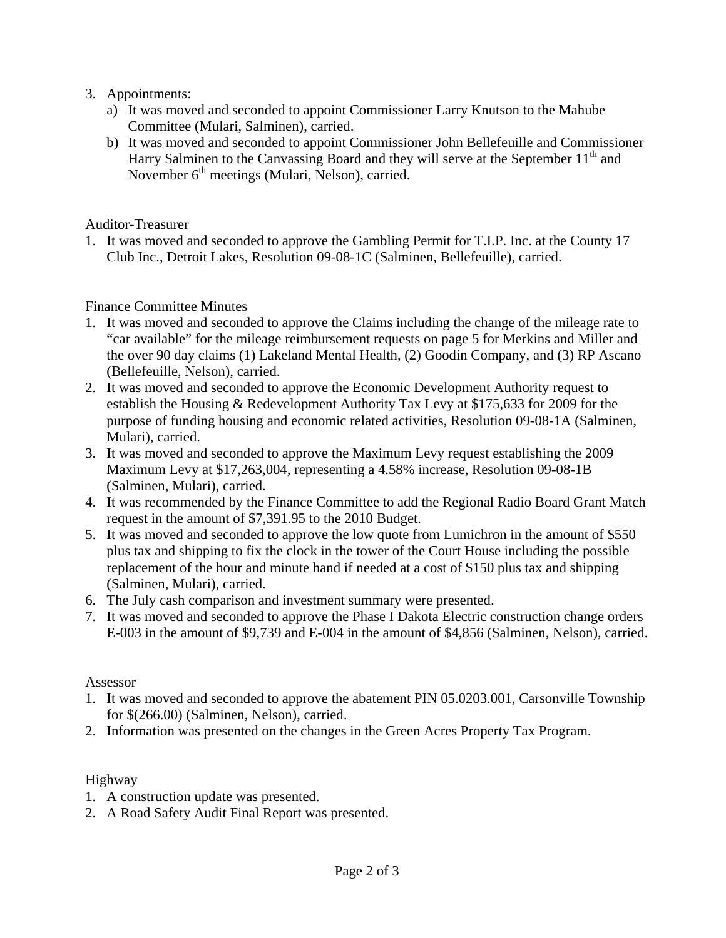- 3. Appointments:
	- a) It was moved and seconded to appoint Commissioner Larry Knutson to the Mahube Committee (Mulari, Salminen), carried.
	- b) It was moved and seconded to appoint Commissioner John Bellefeuille and Commissioner Harry Salminen to the Canvassing Board and they will serve at the September  $11<sup>th</sup>$  and November 6<sup>th</sup> meetings (Mulari, Nelson), carried.

Auditor-Treasurer

1. It was moved and seconded to approve the Gambling Permit for T.I.P. Inc. at the County 17 Club Inc., Detroit Lakes, Resolution 09-08-1C (Salminen, Bellefeuille), carried.

### Finance Committee Minutes

- 1. It was moved and seconded to approve the Claims including the change of the mileage rate to "car available" for the mileage reimbursement requests on page 5 for Merkins and Miller and the over 90 day claims (1) Lakeland Mental Health, (2) Goodin Company, and (3) RP Ascano (Bellefeuille, Nelson), carried.
- 2. It was moved and seconded to approve the Economic Development Authority request to establish the Housing & Redevelopment Authority Tax Levy at \$175,633 for 2009 for the purpose of funding housing and economic related activities, Resolution 09-08-1A (Salminen, Mulari), carried.
- 3. It was moved and seconded to approve the Maximum Levy request establishing the 2009 Maximum Levy at \$17,263,004, representing a 4.58% increase, Resolution 09-08-1B (Salminen, Mulari), carried.
- 4. It was recommended by the Finance Committee to add the Regional Radio Board Grant Match request in the amount of \$7,391.95 to the 2010 Budget.
- 5. It was moved and seconded to approve the low quote from Lumichron in the amount of \$550 plus tax and shipping to fix the clock in the tower of the Court House including the possible replacement of the hour and minute hand if needed at a cost of \$150 plus tax and shipping (Salminen, Mulari), carried.
- 6. The July cash comparison and investment summary were presented.
- 7. It was moved and seconded to approve the Phase I Dakota Electric construction change orders E-003 in the amount of \$9,739 and E-004 in the amount of \$4,856 (Salminen, Nelson), carried.

### Assessor

- 1. It was moved and seconded to approve the abatement PIN 05.0203.001, Carsonville Township for \$(266.00) (Salminen, Nelson), carried.
- 2. Information was presented on the changes in the Green Acres Property Tax Program.

## Highway

- 1. A construction update was presented.
- 2. A Road Safety Audit Final Report was presented.